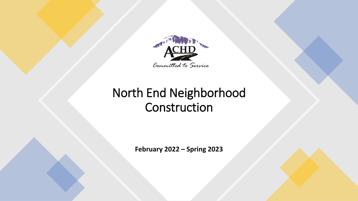

### North End Neighborhood Construction

**February 2022 – Spring 2023**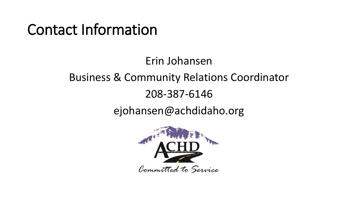## Contact Information

### Erin Johansen Business & Community Relations Coordinator 208-387-6146 ejohansen@achdidaho.org

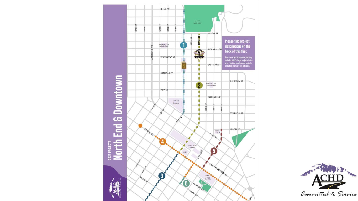

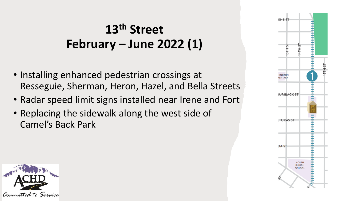### **13th Street February – June 2022 (1)**

- Installing enhanced pedestrian crossings at Resseguie, Sherman, Heron, Hazel, and Bella Streets
- Radar speed limit signs installed near Irene and Fort
- Replacing the sidewalk along the west side of Camel's Back Park



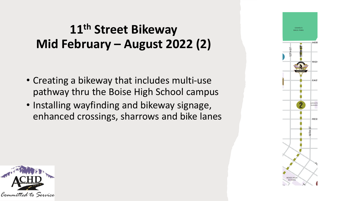### **11th Street Bikeway Mid February – August 2022 (2)**

- Creating a bikeway that includes multi-use pathway thru the Boise High School campus
- Installing wayfinding and bikeway signage, enhanced crossings, sharrows and bike lanes



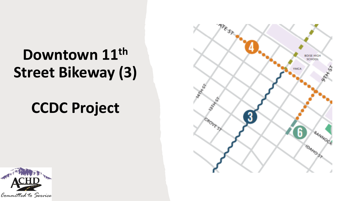# **Downtown 11th Street Bikeway (3)**

# **CCDC Project**



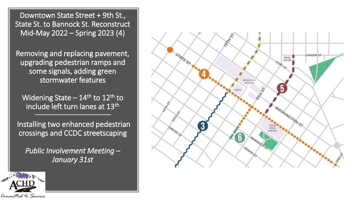**STATEST UNION ST** BOISE  $CO-OP$ **FORT ST BOISE HIGH** SCHOOL WASHINGTON ST 3 **STATE** 

Downtown State Street + 9th St., State St. to Bannock St. Reconstruct Mid-May 2022 – Spring 2023 (4)

Removing and replacing pavement, upgrading pedestrian ramps and some signals, adding green stormwater features

Widening State –  $14<sup>th</sup>$  to  $12<sup>th</sup>$  to include left turn lanes at 13<sup>th</sup>

Installing two enhanced pedestrian crossings and CCDC streetscaping

*Public Involvement Meeting – January 31st*

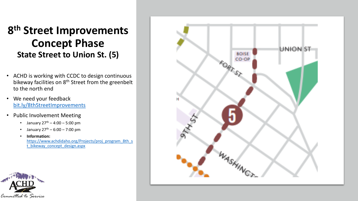#### **8 th Street Improvements Concept Phase State Street to Union St. (5)**

- ACHD is working with CCDC to design continuous bikeway facilities on 8<sup>th</sup> Street from the greenbelt to the north end
- We need your feedback [bit.ly/8thStreetImprovements](https://storymaps.arcgis.com/stories/a2017aee9cc046fb8e5c1e6198cd1d03)
- Public Involvement Meeting
	- January  $27^{th} 4:00 5:00$  pm
	- January  $27^{th}$  6:00 7:00 pm
	- **Information:**

[https://www.achdidaho.org/Projects/proj\\_program\\_8th\\_s](https://www.achdidaho.org/Projects/proj_program_8th_st_bikeway_concept_design.aspx) t\_bikeway\_concept\_design.aspx



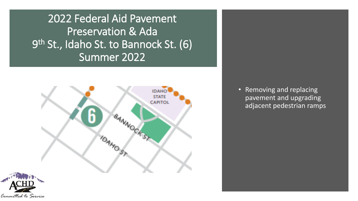2022 Federal Aid Pavement Preservation & Ada 9<sup>th</sup> St., Idaho St. to Bannock St. (6) Summer 2022



Committed to Service

• Removing and replacing pavement and upgrading adjacent pedestrian ramps